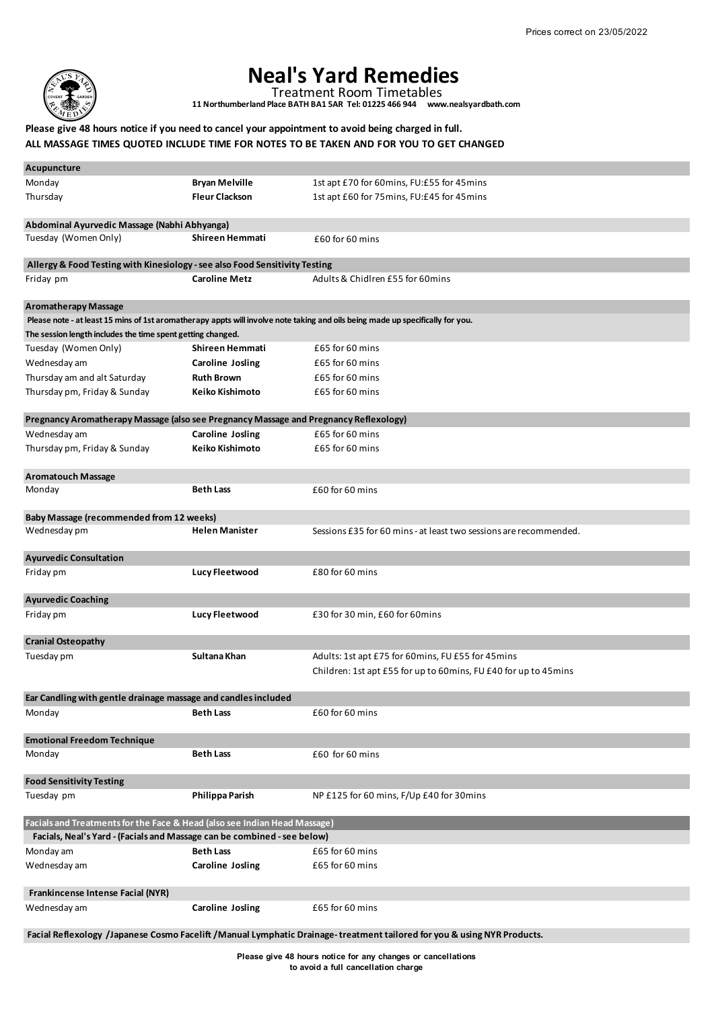

## **Neal's Yard Remedies**

Treatment Room Timetables

**11 Northumberland Place BATH BA1 5AR Tel: 01225 466 944 www.nealsyardbath.com**

## **Please give 48 hours notice if you need to cancel your appointment to avoid being charged in full. ALL MASSAGE TIMES QUOTED INCLUDE TIME FOR NOTES TO BE TAKEN AND FOR YOU TO GET CHANGED**

| Acupuncture                                                                           |                         |                                                                                                                                |
|---------------------------------------------------------------------------------------|-------------------------|--------------------------------------------------------------------------------------------------------------------------------|
| Monday                                                                                | <b>Bryan Melville</b>   | 1st apt £70 for 60mins, FU:£55 for 45mins                                                                                      |
| Thursday                                                                              | <b>Fleur Clackson</b>   | 1st apt £60 for 75mins, FU:£45 for 45mins                                                                                      |
|                                                                                       |                         |                                                                                                                                |
| Abdominal Ayurvedic Massage (Nabhi Abhyanga)                                          |                         |                                                                                                                                |
| Tuesday (Women Only)                                                                  | Shireen Hemmati         | £60 for 60 mins                                                                                                                |
| Allergy & Food Testing with Kinesiology - see also Food Sensitivity Testing           |                         |                                                                                                                                |
| Friday pm                                                                             | <b>Caroline Metz</b>    | Adults & Chidlren £55 for 60mins                                                                                               |
| <b>Aromatherapy Massage</b>                                                           |                         |                                                                                                                                |
|                                                                                       |                         | Please note - at least 15 mins of 1st aromatherapy appts will involve note taking and oils being made up specifically for you. |
| The session length includes the time spent getting changed.                           |                         |                                                                                                                                |
| Tuesday (Women Only)                                                                  | Shireen Hemmati         | £65 for 60 mins                                                                                                                |
| Wednesday am                                                                          | <b>Caroline Josling</b> | £65 for 60 mins                                                                                                                |
| Thursday am and alt Saturday                                                          | <b>Ruth Brown</b>       | £65 for 60 mins                                                                                                                |
| Thursday pm, Friday & Sunday                                                          | Keiko Kishimoto         | £65 for 60 mins                                                                                                                |
| Pregnancy Aromatherapy Massage (also see Pregnancy Massage and Pregnancy Reflexology) |                         |                                                                                                                                |
| Wednesday am                                                                          | <b>Caroline Josling</b> | £65 for 60 mins                                                                                                                |
| Thursday pm, Friday & Sunday                                                          | Keiko Kishimoto         | £65 for 60 mins                                                                                                                |
|                                                                                       |                         |                                                                                                                                |
| <b>Aromatouch Massage</b>                                                             |                         |                                                                                                                                |
| Monday                                                                                | <b>Beth Lass</b>        | £60 for 60 mins                                                                                                                |
|                                                                                       |                         |                                                                                                                                |
| Baby Massage (recommended from 12 weeks)                                              |                         |                                                                                                                                |
| Wednesday pm                                                                          | <b>Helen Manister</b>   | Sessions £35 for 60 mins - at least two sessions are recommended.                                                              |
|                                                                                       |                         |                                                                                                                                |
| <b>Ayurvedic Consultation</b>                                                         |                         |                                                                                                                                |
| Friday pm                                                                             | Lucy Fleetwood          | £80 for 60 mins                                                                                                                |
|                                                                                       |                         |                                                                                                                                |
| <b>Ayurvedic Coaching</b>                                                             |                         |                                                                                                                                |
| Friday pm                                                                             | Lucy Fleetwood          | £30 for 30 min, £60 for 60 mins                                                                                                |
|                                                                                       |                         |                                                                                                                                |
| <b>Cranial Osteopathy</b>                                                             | Sultana Khan            |                                                                                                                                |
| Tuesday pm                                                                            |                         | Adults: 1st apt £75 for 60mins, FU £55 for 45mins                                                                              |
|                                                                                       |                         | Children: 1st apt £55 for up to 60mins, FU £40 for up to 45mins                                                                |
| Ear Candling with gentle drainage massage and candles included                        |                         |                                                                                                                                |
| Monday                                                                                | Beth Lass               | £60 for 60 mins                                                                                                                |
|                                                                                       |                         |                                                                                                                                |
| <b>Emotional Freedom Technique</b><br>Monday                                          | <b>Beth Lass</b>        | £60 for 60 mins                                                                                                                |
|                                                                                       |                         |                                                                                                                                |
| <b>Food Sensitivity Testing</b>                                                       |                         |                                                                                                                                |
| Tuesday pm                                                                            | Philippa Parish         | NP £125 for 60 mins, F/Up £40 for 30 mins                                                                                      |
| Facials and Treatments for the Face & Head (also see Indian Head Massage)             |                         |                                                                                                                                |
| Facials, Neal's Yard - (Facials and Massage can be combined - see below)              |                         |                                                                                                                                |
| Monday am                                                                             | <b>Beth Lass</b>        | £65 for 60 mins                                                                                                                |
| Wednesday am                                                                          | Caroline Josling        | £65 for 60 mins                                                                                                                |
|                                                                                       |                         |                                                                                                                                |
| Frankincense Intense Facial (NYR)                                                     |                         |                                                                                                                                |
| Wednesday am                                                                          | <b>Caroline Josling</b> | £65 for 60 mins                                                                                                                |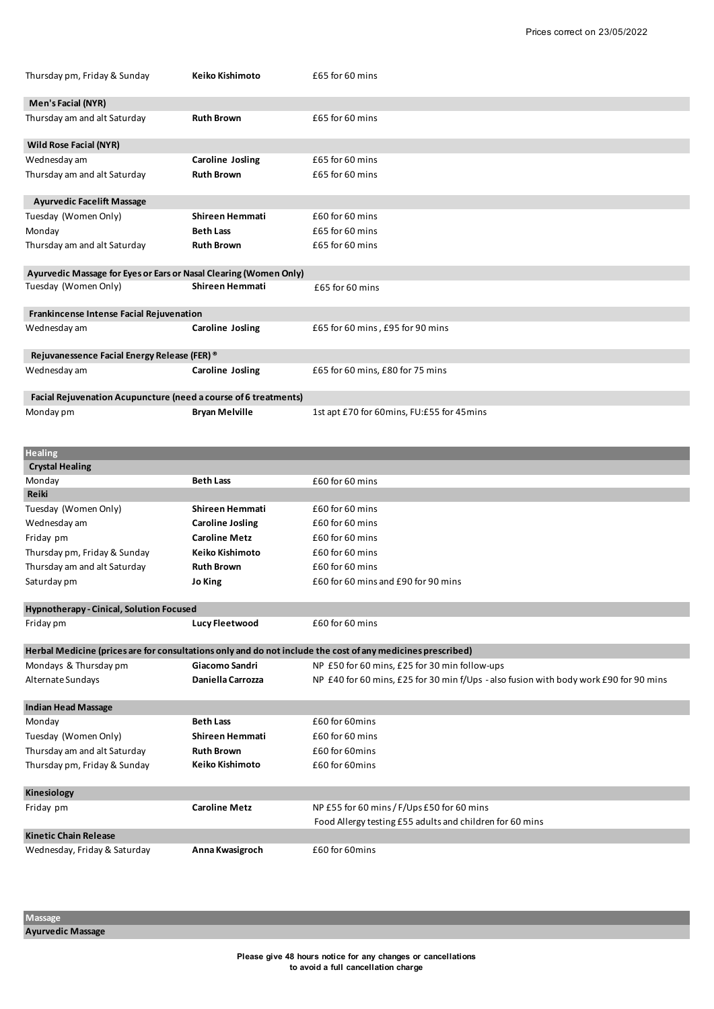|                                                                                                                                                      | Keiko Kishimoto         | £65 for 60 mins                                                                                             |
|------------------------------------------------------------------------------------------------------------------------------------------------------|-------------------------|-------------------------------------------------------------------------------------------------------------|
| Men's Facial (NYR)                                                                                                                                   |                         |                                                                                                             |
| Thursday am and alt Saturday                                                                                                                         | <b>Ruth Brown</b>       | £65 for 60 mins                                                                                             |
|                                                                                                                                                      |                         |                                                                                                             |
| Wild Rose Facial (NYR)                                                                                                                               |                         |                                                                                                             |
| Wednesday am                                                                                                                                         | <b>Caroline Josling</b> | £65 for 60 mins                                                                                             |
| Thursday am and alt Saturday                                                                                                                         | <b>Ruth Brown</b>       | £65 for 60 mins                                                                                             |
| <b>Ayurvedic Facelift Massage</b>                                                                                                                    |                         |                                                                                                             |
| Tuesday (Women Only)                                                                                                                                 | Shireen Hemmati         | £60 for 60 mins                                                                                             |
| Monday                                                                                                                                               | <b>Beth Lass</b>        | £65 for 60 mins                                                                                             |
| Thursday am and alt Saturday                                                                                                                         | <b>Ruth Brown</b>       | £65 for 60 mins                                                                                             |
| Ayurvedic Massage for Eyes or Ears or Nasal Clearing (Women Only)                                                                                    |                         |                                                                                                             |
| Tuesday (Women Only)                                                                                                                                 | Shireen Hemmati         | £65 for 60 mins                                                                                             |
| Frankincense Intense Facial Rejuvenation                                                                                                             |                         |                                                                                                             |
| Wednesday am                                                                                                                                         | <b>Caroline Josling</b> | £65 for 60 mins, £95 for 90 mins                                                                            |
|                                                                                                                                                      |                         |                                                                                                             |
| Rejuvanessence Facial Energy Release (FER) ®                                                                                                         |                         |                                                                                                             |
| Wednesday am                                                                                                                                         | <b>Caroline Josling</b> | £65 for 60 mins, £80 for 75 mins                                                                            |
| Facial Rejuvenation Acupuncture (need a course of 6 treatments)                                                                                      |                         |                                                                                                             |
| Monday pm                                                                                                                                            | <b>Bryan Melville</b>   | 1st apt £70 for 60mins, FU:£55 for 45mins                                                                   |
|                                                                                                                                                      |                         |                                                                                                             |
| <b>Healing</b>                                                                                                                                       |                         |                                                                                                             |
| <b>Crystal Healing</b>                                                                                                                               |                         |                                                                                                             |
| Monday                                                                                                                                               | <b>Beth Lass</b>        | £60 for 60 mins                                                                                             |
| Reiki                                                                                                                                                |                         |                                                                                                             |
| Tuesday (Women Only)                                                                                                                                 | Shireen Hemmati         | £60 for 60 mins                                                                                             |
| Wednesday am                                                                                                                                         | <b>Caroline Josling</b> | £60 for 60 mins                                                                                             |
| Friday pm                                                                                                                                            | <b>Caroline Metz</b>    | £60 for 60 mins                                                                                             |
| Thursday pm, Friday & Sunday                                                                                                                         | Keiko Kishimoto         | £60 for 60 mins                                                                                             |
|                                                                                                                                                      |                         |                                                                                                             |
| Thursday am and alt Saturday                                                                                                                         | <b>Ruth Brown</b>       | £60 for 60 mins                                                                                             |
|                                                                                                                                                      | Jo King                 | £60 for 60 mins and £90 for 90 mins                                                                         |
| Saturday pm<br>Hypnotherapy - Cinical, Solution Focused                                                                                              |                         |                                                                                                             |
| Friday pm                                                                                                                                            | Lucy Fleetwood          | £60 for 60 mins                                                                                             |
|                                                                                                                                                      |                         | Herbal Medicine (prices are for consultations only and do not include the cost of any medicines prescribed) |
|                                                                                                                                                      | Giacomo Sandri          | NP £50 for 60 mins, £25 for 30 min follow-ups                                                               |
| Mondays & Thursday pm                                                                                                                                | Daniella Carrozza       | NP £40 for 60 mins, £25 for 30 min f/Ups - also fusion with body work £90 for 90 mins                       |
|                                                                                                                                                      |                         |                                                                                                             |
| Monday                                                                                                                                               | <b>Beth Lass</b>        | £60 for 60 mins                                                                                             |
|                                                                                                                                                      | <b>Shireen Hemmati</b>  | £60 for 60 mins                                                                                             |
|                                                                                                                                                      | <b>Ruth Brown</b>       | £60 for 60 mins                                                                                             |
|                                                                                                                                                      | Keiko Kishimoto         | £60 for 60 mins                                                                                             |
|                                                                                                                                                      |                         |                                                                                                             |
| Kinesiology                                                                                                                                          |                         |                                                                                                             |
| Alternate Sundays<br><b>Indian Head Massage</b><br>Tuesday (Women Only)<br>Thursday am and alt Saturday<br>Thursday pm, Friday & Sunday<br>Friday pm | <b>Caroline Metz</b>    | NP £55 for 60 mins / F/Ups £50 for 60 mins                                                                  |
|                                                                                                                                                      |                         | Food Allergy testing £55 adults and children for 60 mins                                                    |
| <b>Kinetic Chain Release</b><br>Wednesday, Friday & Saturday                                                                                         | Anna Kwasigroch         | £60 for 60mins                                                                                              |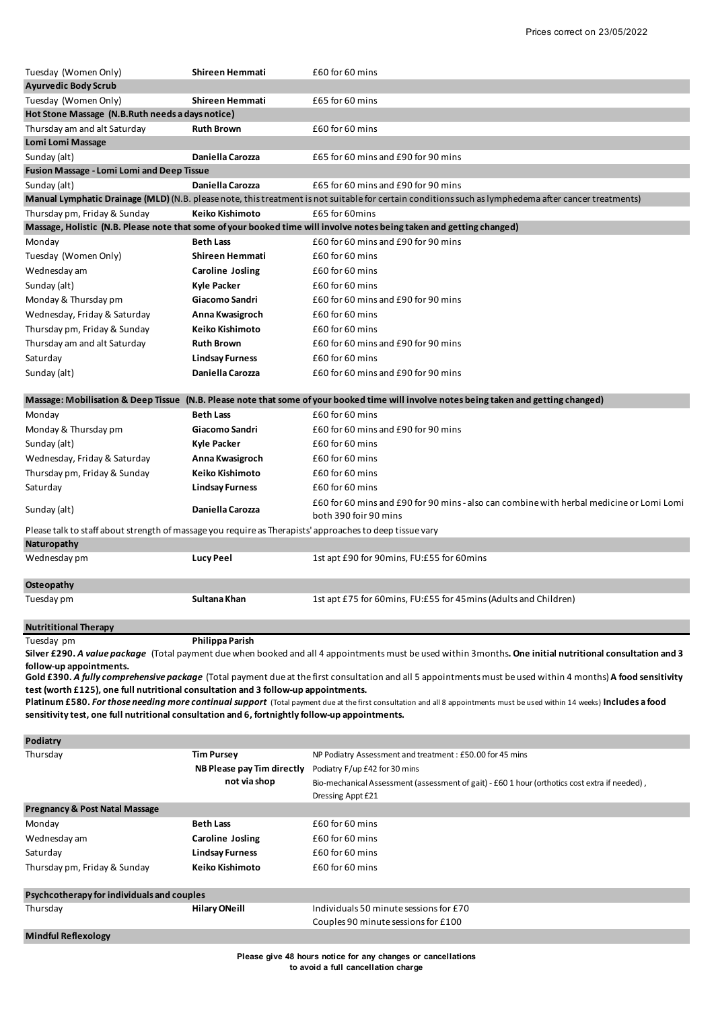| Tuesday (Women Only)                                                                                                                                                                                                                                                                                                                                                                                                                                                                                                               | Shireen Hemmati                            | £60 for 60 mins                                                                                                                                             |  |  |  |  |
|------------------------------------------------------------------------------------------------------------------------------------------------------------------------------------------------------------------------------------------------------------------------------------------------------------------------------------------------------------------------------------------------------------------------------------------------------------------------------------------------------------------------------------|--------------------------------------------|-------------------------------------------------------------------------------------------------------------------------------------------------------------|--|--|--|--|
| <b>Ayurvedic Body Scrub</b>                                                                                                                                                                                                                                                                                                                                                                                                                                                                                                        |                                            |                                                                                                                                                             |  |  |  |  |
| Tuesday (Women Only)                                                                                                                                                                                                                                                                                                                                                                                                                                                                                                               | Shireen Hemmati                            | £65 for 60 mins                                                                                                                                             |  |  |  |  |
| Hot Stone Massage (N.B.Ruth needs a days notice)                                                                                                                                                                                                                                                                                                                                                                                                                                                                                   |                                            |                                                                                                                                                             |  |  |  |  |
| Thursday am and alt Saturday                                                                                                                                                                                                                                                                                                                                                                                                                                                                                                       | <b>Ruth Brown</b>                          | £60 for 60 mins                                                                                                                                             |  |  |  |  |
| Lomi Lomi Massage                                                                                                                                                                                                                                                                                                                                                                                                                                                                                                                  |                                            |                                                                                                                                                             |  |  |  |  |
| Sunday (alt)                                                                                                                                                                                                                                                                                                                                                                                                                                                                                                                       | Daniella Carozza                           | £65 for 60 mins and £90 for 90 mins                                                                                                                         |  |  |  |  |
| Fusion Massage - Lomi Lomi and Deep Tissue                                                                                                                                                                                                                                                                                                                                                                                                                                                                                         |                                            |                                                                                                                                                             |  |  |  |  |
| Sunday (alt)                                                                                                                                                                                                                                                                                                                                                                                                                                                                                                                       | Daniella Carozza                           | £65 for 60 mins and £90 for 90 mins                                                                                                                         |  |  |  |  |
|                                                                                                                                                                                                                                                                                                                                                                                                                                                                                                                                    |                                            | Manual Lymphatic Drainage (MLD) (N.B. please note, this treatment is not suitable for certain conditions such as lymphedema after cancer treatments)        |  |  |  |  |
| Thursday pm, Friday & Sunday                                                                                                                                                                                                                                                                                                                                                                                                                                                                                                       | Keiko Kishimoto                            | £65 for 60mins                                                                                                                                              |  |  |  |  |
|                                                                                                                                                                                                                                                                                                                                                                                                                                                                                                                                    |                                            | Massage, Holistic (N.B. Please note that some of your booked time will involve notes being taken and getting changed)                                       |  |  |  |  |
| Monday                                                                                                                                                                                                                                                                                                                                                                                                                                                                                                                             | <b>Beth Lass</b>                           | £60 for 60 mins and £90 for 90 mins                                                                                                                         |  |  |  |  |
| Tuesday (Women Only)                                                                                                                                                                                                                                                                                                                                                                                                                                                                                                               | Shireen Hemmati                            | £60 for 60 mins                                                                                                                                             |  |  |  |  |
| Wednesday am                                                                                                                                                                                                                                                                                                                                                                                                                                                                                                                       | Caroline Josling                           | £60 for 60 mins                                                                                                                                             |  |  |  |  |
| Sunday (alt)                                                                                                                                                                                                                                                                                                                                                                                                                                                                                                                       | Kyle Packer                                | £60 for 60 mins                                                                                                                                             |  |  |  |  |
| Monday & Thursday pm                                                                                                                                                                                                                                                                                                                                                                                                                                                                                                               | Giacomo Sandri                             | £60 for 60 mins and £90 for 90 mins                                                                                                                         |  |  |  |  |
| Wednesday, Friday & Saturday                                                                                                                                                                                                                                                                                                                                                                                                                                                                                                       | Anna Kwasigroch                            | £60 for 60 mins                                                                                                                                             |  |  |  |  |
| Thursday pm, Friday & Sunday                                                                                                                                                                                                                                                                                                                                                                                                                                                                                                       | <b>Keiko Kishimoto</b>                     | £60 for 60 mins                                                                                                                                             |  |  |  |  |
| Thursday am and alt Saturday                                                                                                                                                                                                                                                                                                                                                                                                                                                                                                       | <b>Ruth Brown</b>                          | £60 for 60 mins and £90 for 90 mins                                                                                                                         |  |  |  |  |
| Saturday                                                                                                                                                                                                                                                                                                                                                                                                                                                                                                                           | <b>Lindsay Furness</b>                     | £60 for 60 mins                                                                                                                                             |  |  |  |  |
| Sunday (alt)                                                                                                                                                                                                                                                                                                                                                                                                                                                                                                                       | Daniella Carozza                           | £60 for 60 mins and £90 for 90 mins                                                                                                                         |  |  |  |  |
|                                                                                                                                                                                                                                                                                                                                                                                                                                                                                                                                    |                                            |                                                                                                                                                             |  |  |  |  |
|                                                                                                                                                                                                                                                                                                                                                                                                                                                                                                                                    |                                            | Massage: Mobilisation & Deep Tissue (N.B. Please note that some of your booked time will involve notes being taken and getting changed)                     |  |  |  |  |
| Monday                                                                                                                                                                                                                                                                                                                                                                                                                                                                                                                             | <b>Beth Lass</b>                           | £60 for 60 mins                                                                                                                                             |  |  |  |  |
| Monday & Thursday pm                                                                                                                                                                                                                                                                                                                                                                                                                                                                                                               | Giacomo Sandri                             | £60 for 60 mins and £90 for 90 mins                                                                                                                         |  |  |  |  |
| Sunday (alt)                                                                                                                                                                                                                                                                                                                                                                                                                                                                                                                       | Kyle Packer                                | £60 for 60 mins                                                                                                                                             |  |  |  |  |
| Wednesday, Friday & Saturday                                                                                                                                                                                                                                                                                                                                                                                                                                                                                                       | Anna Kwasigroch                            | £60 for 60 mins                                                                                                                                             |  |  |  |  |
| Thursday pm, Friday & Sunday                                                                                                                                                                                                                                                                                                                                                                                                                                                                                                       | Keiko Kishimoto                            | £60 for 60 mins                                                                                                                                             |  |  |  |  |
| Saturday                                                                                                                                                                                                                                                                                                                                                                                                                                                                                                                           | <b>Lindsay Furness</b>                     | £60 for 60 mins                                                                                                                                             |  |  |  |  |
| Sunday (alt)                                                                                                                                                                                                                                                                                                                                                                                                                                                                                                                       | Daniella Carozza                           | £60 for 60 mins and £90 for 90 mins - also can combine with herbal medicine or Lomi Lomi<br>both 390 foir 90 mins                                           |  |  |  |  |
| Please talk to staff about strength of massage you require as Therapists' approaches to deep tissue vary                                                                                                                                                                                                                                                                                                                                                                                                                           |                                            |                                                                                                                                                             |  |  |  |  |
| Naturopathy                                                                                                                                                                                                                                                                                                                                                                                                                                                                                                                        |                                            |                                                                                                                                                             |  |  |  |  |
| Wednesday pm                                                                                                                                                                                                                                                                                                                                                                                                                                                                                                                       | <b>Lucy Peel</b>                           | 1st apt £90 for 90mins, FU:£55 for 60mins                                                                                                                   |  |  |  |  |
| Osteopathy                                                                                                                                                                                                                                                                                                                                                                                                                                                                                                                         |                                            |                                                                                                                                                             |  |  |  |  |
| Tuesday pm                                                                                                                                                                                                                                                                                                                                                                                                                                                                                                                         | Sultana Khan                               | 1st apt £75 for 60mins, FU:£55 for 45mins (Adults and Children)                                                                                             |  |  |  |  |
| <b>Nutrititional Therapy</b>                                                                                                                                                                                                                                                                                                                                                                                                                                                                                                       |                                            |                                                                                                                                                             |  |  |  |  |
| Tuesday pm                                                                                                                                                                                                                                                                                                                                                                                                                                                                                                                         | Philippa Parish                            | Silver £290. A value package (Total payment due when booked and all 4 appointments must be used within 3 months. One initial nutritional consultation and 3 |  |  |  |  |
| follow-up appointments.                                                                                                                                                                                                                                                                                                                                                                                                                                                                                                            |                                            |                                                                                                                                                             |  |  |  |  |
| Gold £390. A fully comprehensive package (Total payment due at the first consultation and all 5 appointments must be used within 4 months) A food sensitivity<br>test (worth £125), one full nutritional consultation and 3 follow-up appointments.<br>Platinum £580. For those needing more continual support (Total payment due at the first consultation and all 8 appointments must be used within 14 weeks) Includes a food<br>sensitivity test, one full nutritional consultation and 6, fortnightly follow-up appointments. |                                            |                                                                                                                                                             |  |  |  |  |
|                                                                                                                                                                                                                                                                                                                                                                                                                                                                                                                                    |                                            |                                                                                                                                                             |  |  |  |  |
| Podiatry                                                                                                                                                                                                                                                                                                                                                                                                                                                                                                                           |                                            |                                                                                                                                                             |  |  |  |  |
| Thursday                                                                                                                                                                                                                                                                                                                                                                                                                                                                                                                           | Tim Pursey                                 | NP Podiatry Assessment and treatment : £50.00 for 45 mins                                                                                                   |  |  |  |  |
|                                                                                                                                                                                                                                                                                                                                                                                                                                                                                                                                    | NB Please pay Tim directly<br>not via shop | Podiatry F/up £42 for 30 mins                                                                                                                               |  |  |  |  |
|                                                                                                                                                                                                                                                                                                                                                                                                                                                                                                                                    |                                            | Bio-mechanical Assessment (assessment of gait) - £60 1 hour (orthotics cost extra if needed),<br>Dressing Appt £21                                          |  |  |  |  |
| <b>Pregnancy &amp; Post Natal Massage</b>                                                                                                                                                                                                                                                                                                                                                                                                                                                                                          |                                            |                                                                                                                                                             |  |  |  |  |
| Monday                                                                                                                                                                                                                                                                                                                                                                                                                                                                                                                             | <b>Beth Lass</b>                           | £60 for 60 mins                                                                                                                                             |  |  |  |  |
| Wednesday am                                                                                                                                                                                                                                                                                                                                                                                                                                                                                                                       | <b>Caroline Josling</b>                    | £60 for 60 mins                                                                                                                                             |  |  |  |  |
| Saturday                                                                                                                                                                                                                                                                                                                                                                                                                                                                                                                           | <b>Lindsay Furness</b>                     | £60 for 60 mins                                                                                                                                             |  |  |  |  |
| Thursday pm, Friday & Sunday                                                                                                                                                                                                                                                                                                                                                                                                                                                                                                       | Keiko Kishimoto                            | £60 for 60 mins                                                                                                                                             |  |  |  |  |
|                                                                                                                                                                                                                                                                                                                                                                                                                                                                                                                                    |                                            |                                                                                                                                                             |  |  |  |  |
| Psychcotherapy for individuals and couples                                                                                                                                                                                                                                                                                                                                                                                                                                                                                         |                                            |                                                                                                                                                             |  |  |  |  |
| Thursday                                                                                                                                                                                                                                                                                                                                                                                                                                                                                                                           | <b>Hilary ONeill</b>                       | Individuals 50 minute sessions for £70                                                                                                                      |  |  |  |  |
|                                                                                                                                                                                                                                                                                                                                                                                                                                                                                                                                    |                                            | Couples 90 minute sessions for £100                                                                                                                         |  |  |  |  |
| <b>Mindful Reflexology</b>                                                                                                                                                                                                                                                                                                                                                                                                                                                                                                         |                                            |                                                                                                                                                             |  |  |  |  |